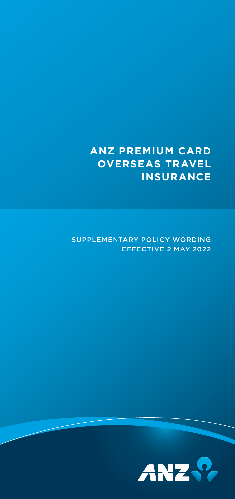## **ANZ PREMIUM CARD OVERSEAS TRAVEL INSURANCE**

## SUPPLEMENTARY POLICY WORDING EFFECTIVE 2 MAY 2022

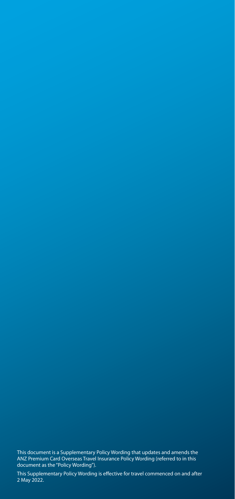This document is a Supplementary Policy Wording that updates and amends the ANZ Premium Card Overseas Travel Insurance Policy Wording (referred to in this document as the "Policy Wording").

This Supplementary Policy Wording is effective for travel commenced on and after 2 May 2022.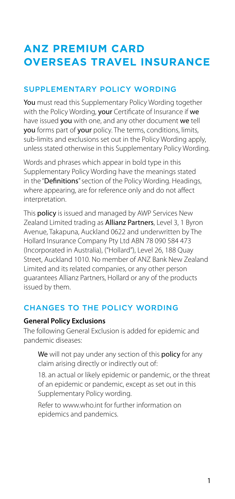# **ANZ PREMIUM CARD OVERSEAS TRAVEL INSURANCE**

## SUPPLEMENTARY POLICY WORDING

You must read this Supplementary Policy Wording together with the Policy Wording, your Certificate of Insurance if we have issued you with one, and any other document we tell you forms part of your policy. The terms, conditions, limits, sub-limits and exclusions set out in the Policy Wording apply, unless stated otherwise in this Supplementary Policy Wording.

Words and phrases which appear in bold type in this Supplementary Policy Wording have the meanings stated in the "Definitions" section of the Policy Wording. Headings, where appearing, are for reference only and do not affect interpretation.

This **policy** is issued and managed by AWP Services New Zealand Limited trading as **Allianz Partners**, Level 3, 1 Byron Avenue, Takapuna, Auckland 0622 and underwritten by The Hollard Insurance Company Pty Ltd ABN 78 090 584 473 (Incorporated in Australia), ("Hollard"), Level 26, 188 Quay Street, Auckland 1010. No member of ANZ Bank New Zealand Limited and its related companies, or any other person guarantees Allianz Partners, Hollard or any of the products issued by them.

## CHANGES TO THE POLICY WORDING

#### **General Policy Exclusions**

The following General Exclusion is added for epidemic and pandemic diseases:

We will not pay under any section of this policy for any claim arising directly or indirectly out of:

18. an actual or likely epidemic or pandemic, or the threat of an epidemic or pandemic, except as set out in this Supplementary Policy wording.

Refer to [www.who.int](http://www.who.int) for further information on epidemics and pandemics.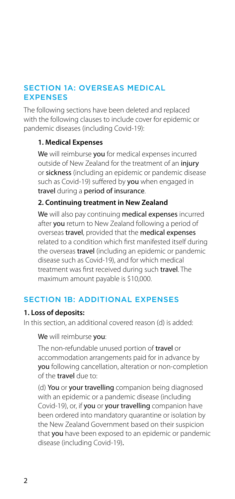### SECTION 1A: OVERSEAS MEDICAL **FXPENSES**

The following sections have been deleted and replaced with the following clauses to include cover for epidemic or pandemic diseases (including Covid-19):

#### **1. Medical Expenses**

We will reimburse you for medical expenses incurred outside of New Zealand for the treatment of an injury or sickness (including an epidemic or pandemic disease such as Covid-19) suffered by you when engaged in travel during a period of insurance.

#### **2. Continuing treatment in New Zealand**

We will also pay continuing medical expenses incurred after you return to New Zealand following a period of overseas travel, provided that the medical expenses related to a condition which first manifested itself during the overseas **travel** (including an epidemic or pandemic disease such as Covid-19), and for which medical treatment was first received during such travel. The maximum amount payable is \$10,000.

## SECTION 1B: ADDITIONAL EXPENSES

#### **1. Loss of deposits:**

In this section, an additional covered reason (d) is added:

#### We will reimburse you:

The non-refundable unused portion of travel or accommodation arrangements paid for in advance by you following cancellation, alteration or non-completion of the travel due to:

(d) You or your travelling companion being diagnosed with an epidemic or a pandemic disease (including Covid-19), or, if you or your travelling companion have been ordered into mandatory quarantine or isolation by the New Zealand Government based on their suspicion that you have been exposed to an epidemic or pandemic disease (including Covid-19).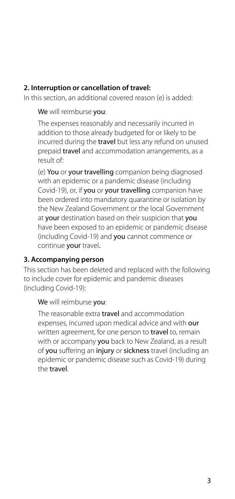#### **2. Interruption or cancellation of travel:**

In this section, an additional covered reason (e) is added:

We will reimburse you:

The expenses reasonably and necessarily incurred in addition to those already budgeted for or likely to be incurred during the travel but less any refund on unused prepaid travel and accommodation arrangements, as a result of:

(e) You or your travelling companion being diagnosed with an epidemic or a pandemic disease (including Covid-19), or, if you or your travelling companion have been ordered into mandatory quarantine or isolation by the New Zealand Government or the local Government at your destination based on their suspicion that you have been exposed to an epidemic or pandemic disease (including Covid-19) and you cannot commence or continue your travel.

#### **3. Accompanying person**

This section has been deleted and replaced with the following to include cover for epidemic and pandemic diseases (including Covid-19):

#### We will reimburse you:

The reasonable extra travel and accommodation expenses, incurred upon medical advice and with our written agreement, for one person to **travel** to, remain with or accompany you back to New Zealand, as a result of you suffering an injury or sickness travel (including an epidemic or pandemic disease such as Covid-19) during the travel.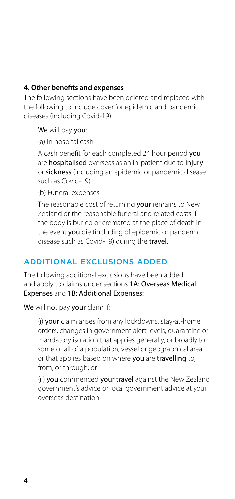#### **4. Other benefits and expenses**

The following sections have been deleted and replaced with the following to include cover for epidemic and pandemic diseases (including Covid-19):

We will pay you:

(a) In hospital cash

A cash benefit for each completed 24 hour period you are hospitalised overseas as an in-patient due to injury or sickness (including an epidemic or pandemic disease such as Covid-19).

(b) Funeral expenses

The reasonable cost of returning your remains to New Zealand or the reasonable funeral and related costs if the body is buried or cremated at the place of death in the event you die (including of epidemic or pandemic disease such as Covid-19) during the travel.

## ADDITIONAL EXCLUSIONS ADDED

The following additional exclusions have been added and apply to claims under sections 1A: Overseas Medical Expenses and 1B: Additional Expenses:

We will not pay your claim if:

(i) your claim arises from any lockdowns, stay-at-home orders, changes in government alert levels, quarantine or mandatory isolation that applies generally, or broadly to some or all of a population, vessel or geographical area, or that applies based on where you are travelling to, from, or through; or

(ii) you commenced your travel against the New Zealand government's advice or local government advice at your overseas destination.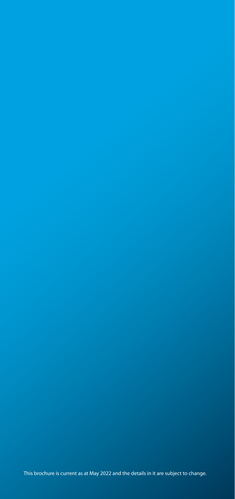This brochure is current as at May 2022 and the details in it are subject to change.